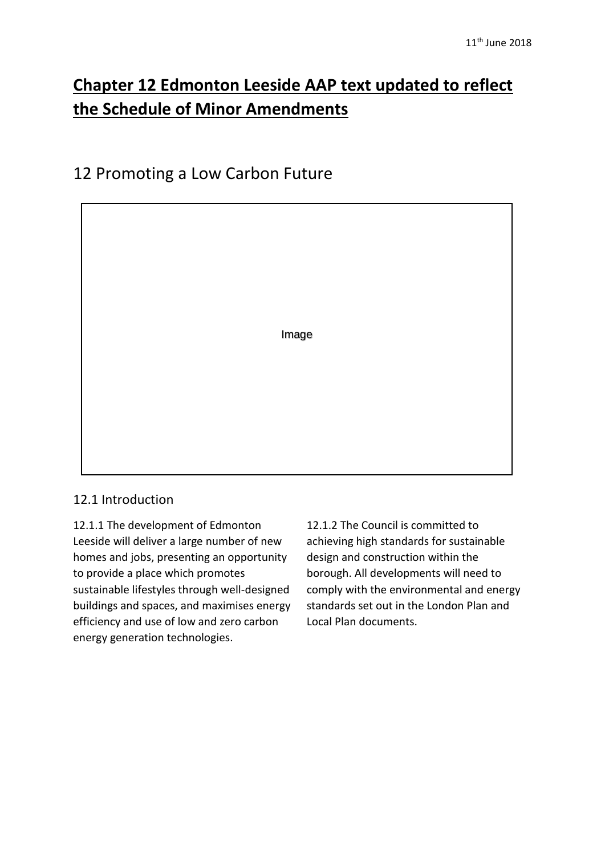# **Chapter 12 Edmonton Leeside AAP text updated to reflect the Schedule of Minor Amendments**

## 12 Promoting a Low Carbon Future



## 12.1 Introduction

12.1.1 The development of Edmonton Leeside will deliver a large number of new homes and jobs, presenting an opportunity to provide a place which promotes sustainable lifestyles through well-designed buildings and spaces, and maximises energy efficiency and use of low and zero carbon energy generation technologies.

12.1.2 The Council is committed to achieving high standards for sustainable design and construction within the borough. All developments will need to comply with the environmental and energy standards set out in the London Plan and Local Plan documents.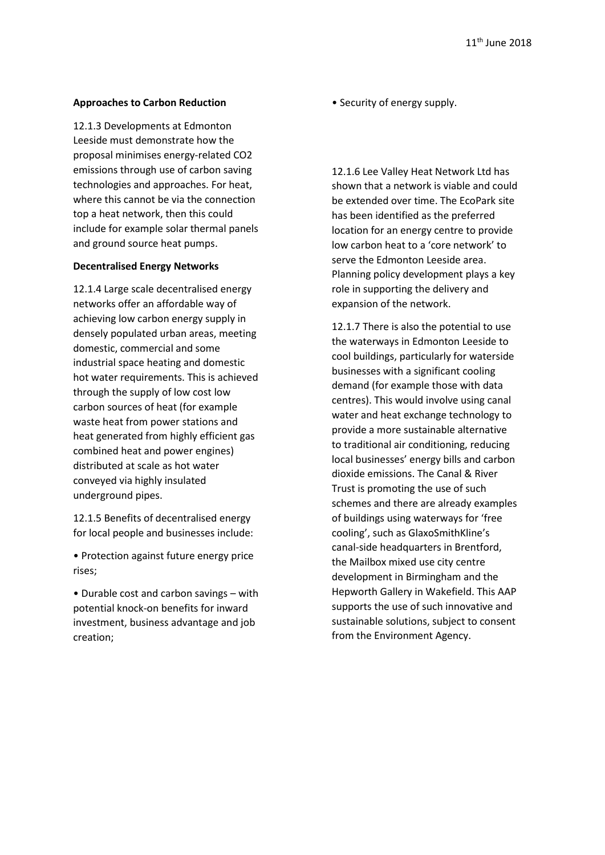#### **Approaches to Carbon Reduction**

12.1.3 Developments at Edmonton Leeside must demonstrate how the proposal minimises energy-related CO2 emissions through use of carbon saving technologies and approaches. For heat, where this cannot be via the connection top a heat network, then this could include for example solar thermal panels and ground source heat pumps.

#### **Decentralised Energy Networks**

12.1.4 Large scale decentralised energy networks offer an affordable way of achieving low carbon energy supply in densely populated urban areas, meeting domestic, commercial and some industrial space heating and domestic hot water requirements. This is achieved through the supply of low cost low carbon sources of heat (for example waste heat from power stations and heat generated from highly efficient gas combined heat and power engines) distributed at scale as hot water conveyed via highly insulated underground pipes.

12.1.5 Benefits of decentralised energy for local people and businesses include:

• Protection against future energy price rises;

• Durable cost and carbon savings – with potential knock-on benefits for inward investment, business advantage and job creation;

• Security of energy supply.

12.1.6 Lee Valley Heat Network Ltd has shown that a network is viable and could be extended over time. The EcoPark site has been identified as the preferred location for an energy centre to provide low carbon heat to a 'core network' to serve the Edmonton Leeside area. Planning policy development plays a key role in supporting the delivery and expansion of the network.

12.1.7 There is also the potential to use the waterways in Edmonton Leeside to cool buildings, particularly for waterside businesses with a significant cooling demand (for example those with data centres). This would involve using canal water and heat exchange technology to provide a more sustainable alternative to traditional air conditioning, reducing local businesses' energy bills and carbon dioxide emissions. The Canal & River Trust is promoting the use of such schemes and there are already examples of buildings using waterways for 'free cooling', such as GlaxoSmithKline's canal-side headquarters in Brentford, the Mailbox mixed use city centre development in Birmingham and the Hepworth Gallery in Wakefield. This AAP supports the use of such innovative and sustainable solutions, subject to consent from the Environment Agency.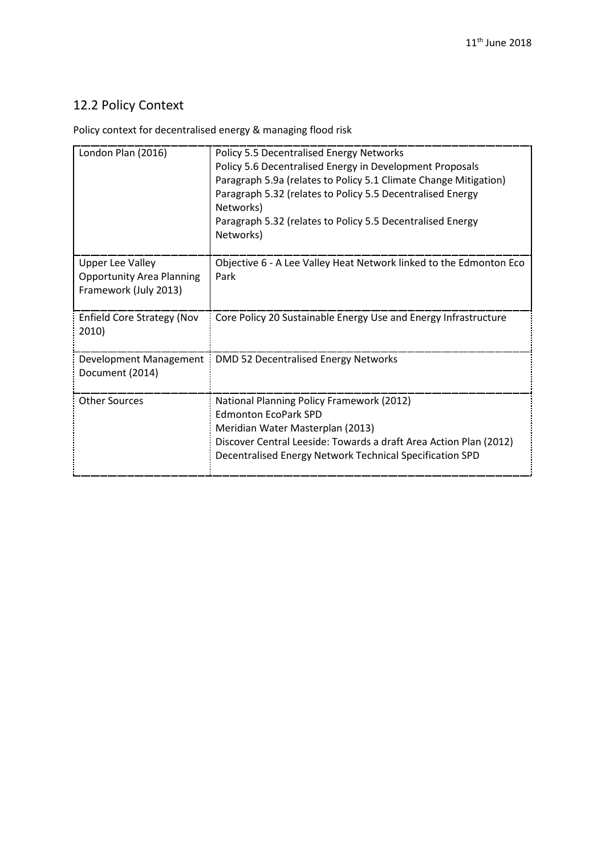## 12.2 Policy Context

Policy context for decentralised energy & managing flood risk

| London Plan (2016)                                                                   | Policy 5.5 Decentralised Energy Networks<br>Policy 5.6 Decentralised Energy in Development Proposals<br>Paragraph 5.9a (relates to Policy 5.1 Climate Change Mitigation)<br>Paragraph 5.32 (relates to Policy 5.5 Decentralised Energy<br>Networks)<br>Paragraph 5.32 (relates to Policy 5.5 Decentralised Energy<br>Networks) |
|--------------------------------------------------------------------------------------|--------------------------------------------------------------------------------------------------------------------------------------------------------------------------------------------------------------------------------------------------------------------------------------------------------------------------------|
| <b>Upper Lee Valley</b><br><b>Opportunity Area Planning</b><br>Framework (July 2013) | Objective 6 - A Lee Valley Heat Network linked to the Edmonton Eco<br>Park                                                                                                                                                                                                                                                     |
| <b>Enfield Core Strategy (Nov</b><br>2010)                                           | Core Policy 20 Sustainable Energy Use and Energy Infrastructure                                                                                                                                                                                                                                                                |
| Document (2014)                                                                      | Development Management   DMD 52 Decentralised Energy Networks                                                                                                                                                                                                                                                                  |
| <b>Other Sources</b>                                                                 | National Planning Policy Framework (2012)<br><b>Edmonton EcoPark SPD</b><br>Meridian Water Masterplan (2013)<br>Discover Central Leeside: Towards a draft Area Action Plan (2012)<br>Decentralised Energy Network Technical Specification SPD                                                                                  |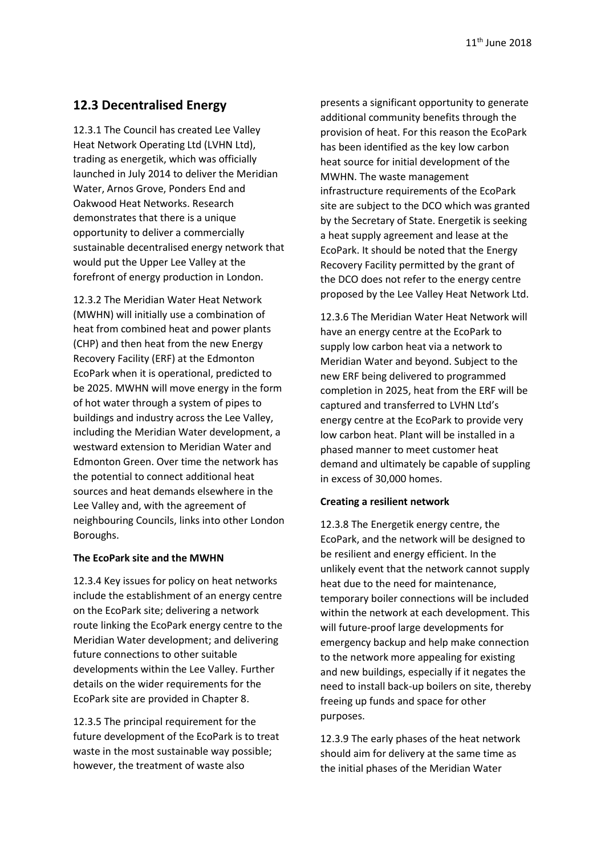### **12.3 Decentralised Energy**

12.3.1 The Council has created Lee Valley Heat Network Operating Ltd (LVHN Ltd), trading as energetik, which was officially launched in July 2014 to deliver the Meridian Water, Arnos Grove, Ponders End and Oakwood Heat Networks. Research demonstrates that there is a unique opportunity to deliver a commercially sustainable decentralised energy network that would put the Upper Lee Valley at the forefront of energy production in London.

12.3.2 The Meridian Water Heat Network (MWHN) will initially use a combination of heat from combined heat and power plants (CHP) and then heat from the new Energy Recovery Facility (ERF) at the Edmonton EcoPark when it is operational, predicted to be 2025. MWHN will move energy in the form of hot water through a system of pipes to buildings and industry across the Lee Valley, including the Meridian Water development, a westward extension to Meridian Water and Edmonton Green. Over time the network has the potential to connect additional heat sources and heat demands elsewhere in the Lee Valley and, with the agreement of neighbouring Councils, links into other London Boroughs.

#### **The EcoPark site and the MWHN**

12.3.4 Key issues for policy on heat networks include the establishment of an energy centre on the EcoPark site; delivering a network route linking the EcoPark energy centre to the Meridian Water development; and delivering future connections to other suitable developments within the Lee Valley. Further details on the wider requirements for the EcoPark site are provided in Chapter 8.

12.3.5 The principal requirement for the future development of the EcoPark is to treat waste in the most sustainable way possible; however, the treatment of waste also

presents a significant opportunity to generate additional community benefits through the provision of heat. For this reason the EcoPark has been identified as the key low carbon heat source for initial development of the MWHN. The waste management infrastructure requirements of the EcoPark site are subject to the DCO which was granted by the Secretary of State. Energetik is seeking a heat supply agreement and lease at the EcoPark. It should be noted that the Energy Recovery Facility permitted by the grant of the DCO does not refer to the energy centre proposed by the Lee Valley Heat Network Ltd.

12.3.6 The Meridian Water Heat Network will have an energy centre at the EcoPark to supply low carbon heat via a network to Meridian Water and beyond. Subject to the new ERF being delivered to programmed completion in 2025, heat from the ERF will be captured and transferred to LVHN Ltd's energy centre at the EcoPark to provide very low carbon heat. Plant will be installed in a phased manner to meet customer heat demand and ultimately be capable of suppling in excess of 30,000 homes.

#### **Creating a resilient network**

12.3.8 The Energetik energy centre, the EcoPark, and the network will be designed to be resilient and energy efficient. In the unlikely event that the network cannot supply heat due to the need for maintenance, temporary boiler connections will be included within the network at each development. This will future-proof large developments for emergency backup and help make connection to the network more appealing for existing and new buildings, especially if it negates the need to install back-up boilers on site, thereby freeing up funds and space for other purposes.

12.3.9 The early phases of the heat network should aim for delivery at the same time as the initial phases of the Meridian Water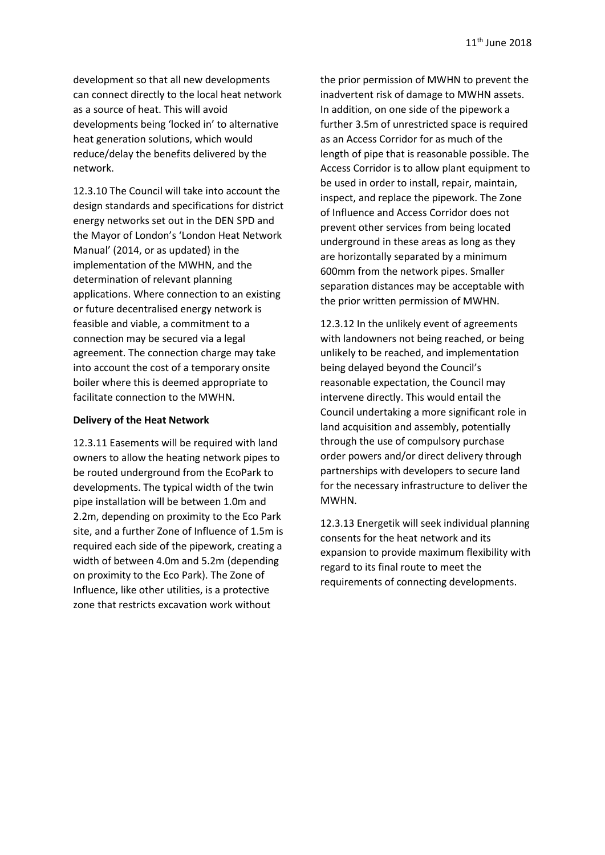development so that all new developments can connect directly to the local heat network as a source of heat. This will avoid developments being 'locked in' to alternative heat generation solutions, which would reduce/delay the benefits delivered by the network.

12.3.10 The Council will take into account the design standards and specifications for district energy networks set out in the DEN SPD and the Mayor of London's 'London Heat Network Manual' (2014, or as updated) in the implementation of the MWHN, and the determination of relevant planning applications. Where connection to an existing or future decentralised energy network is feasible and viable, a commitment to a connection may be secured via a legal agreement. The connection charge may take into account the cost of a temporary onsite boiler where this is deemed appropriate to facilitate connection to the MWHN.

#### **Delivery of the Heat Network**

12.3.11 Easements will be required with land owners to allow the heating network pipes to be routed underground from the EcoPark to developments. The typical width of the twin pipe installation will be between 1.0m and 2.2m, depending on proximity to the Eco Park site, and a further Zone of Influence of 1.5m is required each side of the pipework, creating a width of between 4.0m and 5.2m (depending on proximity to the Eco Park). The Zone of Influence, like other utilities, is a protective zone that restricts excavation work without

the prior permission of MWHN to prevent the inadvertent risk of damage to MWHN assets. In addition, on one side of the pipework a further 3.5m of unrestricted space is required as an Access Corridor for as much of the length of pipe that is reasonable possible. The Access Corridor is to allow plant equipment to be used in order to install, repair, maintain, inspect, and replace the pipework. The Zone of Influence and Access Corridor does not prevent other services from being located underground in these areas as long as they are horizontally separated by a minimum 600mm from the network pipes. Smaller separation distances may be acceptable with the prior written permission of MWHN.

12.3.12 In the unlikely event of agreements with landowners not being reached, or being unlikely to be reached, and implementation being delayed beyond the Council's reasonable expectation, the Council may intervene directly. This would entail the Council undertaking a more significant role in land acquisition and assembly, potentially through the use of compulsory purchase order powers and/or direct delivery through partnerships with developers to secure land for the necessary infrastructure to deliver the MWHN.

12.3.13 Energetik will seek individual planning consents for the heat network and its expansion to provide maximum flexibility with regard to its final route to meet the requirements of connecting developments.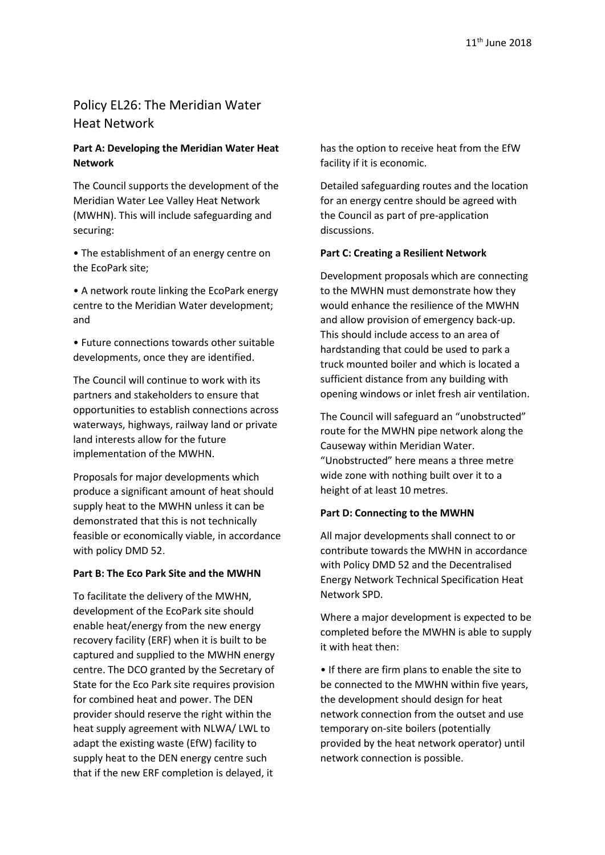### Policy EL26: The Meridian Water Heat Network

#### **Part A: Developing the Meridian Water Heat Network**

The Council supports the development of the Meridian Water Lee Valley Heat Network (MWHN). This will include safeguarding and securing:

• The establishment of an energy centre on the EcoPark site;

• A network route linking the EcoPark energy centre to the Meridian Water development; and

• Future connections towards other suitable developments, once they are identified.

The Council will continue to work with its partners and stakeholders to ensure that opportunities to establish connections across waterways, highways, railway land or private land interests allow for the future implementation of the MWHN.

Proposals for major developments which produce a significant amount of heat should supply heat to the MWHN unless it can be demonstrated that this is not technically feasible or economically viable, in accordance with policy DMD 52.

#### **Part B: The Eco Park Site and the MWHN**

To facilitate the delivery of the MWHN, development of the EcoPark site should enable heat/energy from the new energy recovery facility (ERF) when it is built to be captured and supplied to the MWHN energy centre. The DCO granted by the Secretary of State for the Eco Park site requires provision for combined heat and power. The DEN provider should reserve the right within the heat supply agreement with NLWA/ LWL to adapt the existing waste (EfW) facility to supply heat to the DEN energy centre such that if the new ERF completion is delayed, it

has the option to receive heat from the EfW facility if it is economic.

Detailed safeguarding routes and the location for an energy centre should be agreed with the Council as part of pre-application discussions.

#### **Part C: Creating a Resilient Network**

Development proposals which are connecting to the MWHN must demonstrate how they would enhance the resilience of the MWHN and allow provision of emergency back-up. This should include access to an area of hardstanding that could be used to park a truck mounted boiler and which is located a sufficient distance from any building with opening windows or inlet fresh air ventilation.

The Council will safeguard an "unobstructed" route for the MWHN pipe network along the Causeway within Meridian Water. "Unobstructed" here means a three metre wide zone with nothing built over it to a height of at least 10 metres.

#### **Part D: Connecting to the MWHN**

All major developments shall connect to or contribute towards the MWHN in accordance with Policy DMD 52 and the Decentralised Energy Network Technical Specification Heat Network SPD.

Where a major development is expected to be completed before the MWHN is able to supply it with heat then:

• If there are firm plans to enable the site to be connected to the MWHN within five years, the development should design for heat network connection from the outset and use temporary on-site boilers (potentially provided by the heat network operator) until network connection is possible.